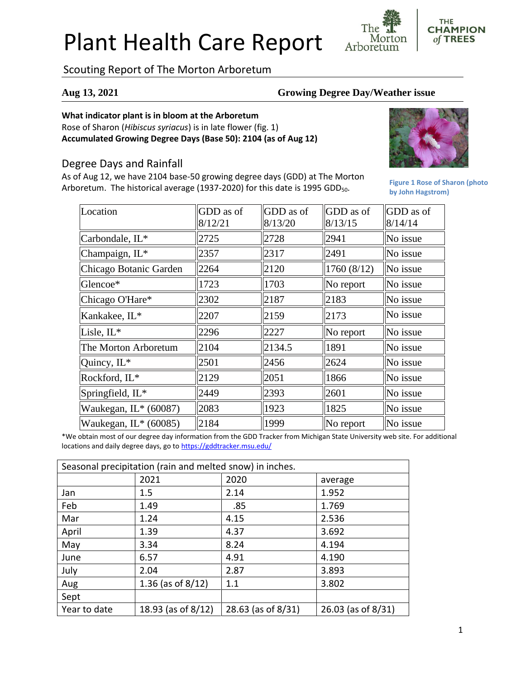# Plant Health Care Report

Scouting Report of The Morton Arboretum

#### **Aug 13, 2021 Growing Degree Day/Weather issue**

Morton

Arboretum

#### **What indicator plant is in bloom at the Arboretum**

Rose of Sharon (*Hibiscus syriacus*) is in late flower (fig. 1) **Accumulated Growing Degree Days (Base 50): 2104 (as of Aug 12)**

### Degree Days and Rainfall

As of Aug 12, we have 2104 base-50 growing degree days (GDD) at The Morton Arboretum. The historical average (1937-2020) for this date is 1995 GDD<sub>50</sub>.



**Figure 1 Rose of Sharon (photo by John Hagstrom)**

**THE CHAMPION** of TREES

| Location                | GDD as of | GDD as of | GDD as of      | GDD as of |
|-------------------------|-----------|-----------|----------------|-----------|
|                         | 8/12/21   | 8/13/20   | 8/13/15        | 8/14/14   |
| Carbondale, IL*         | 2725      | 2728      | 2941           | No issue  |
| Champaign, IL*          | 2357      | 2317      | 2491           | No issue  |
| Chicago Botanic Garden  | 2264      | 2120      | 1760 (8/12)    | No issue  |
| Glencoe*                | 1723      | 1703      | $\ $ No report | No issue  |
| Chicago O'Hare*         | 2302      | 2187      | 2183           | No issue  |
| Kankakee, IL*           | 2207      | 2159      | 2173           | No issue  |
| Lisle, IL*              | 2296      | 2227      | $\ $ No report | No issue  |
| The Morton Arboretum    | 2104      | 2134.5    | 1891           | No issue  |
| Quincy, IL*             | 2501      | 2456      | 2624           | No issue  |
| Rockford, IL*           | 2129      | 2051      | 1866           | No issue  |
| Springfield, IL*        | 2449      | 2393      | 2601           | No issue  |
| Waukegan, IL* (60087)   | 2083      | 1923      | 1825           | No issue  |
| Waukegan, $IL*$ (60085) | 2184      | 1999      | $\ $ No report | No issue  |

\*We obtain most of our degree day information from the GDD Tracker from Michigan State University web site. For additional locations and daily degree days, go to <https://gddtracker.msu.edu/>

| Seasonal precipitation (rain and melted snow) in inches. |                      |                    |                    |  |  |
|----------------------------------------------------------|----------------------|--------------------|--------------------|--|--|
|                                                          | 2021                 | 2020               | average            |  |  |
| Jan                                                      | 1.5                  | 2.14               | 1.952              |  |  |
| Feb                                                      | 1.49                 | .85                | 1.769              |  |  |
| Mar                                                      | 1.24                 | 4.15               | 2.536              |  |  |
| April                                                    | 1.39                 | 4.37               | 3.692              |  |  |
| May                                                      | 3.34                 | 8.24               | 4.194              |  |  |
| June                                                     | 6.57                 | 4.91               | 4.190              |  |  |
| July                                                     | 2.04                 | 2.87               | 3.893              |  |  |
| Aug                                                      | 1.36 (as of $8/12$ ) | 1.1                | 3.802              |  |  |
| Sept                                                     |                      |                    |                    |  |  |
| Year to date                                             | 18.93 (as of 8/12)   | 28.63 (as of 8/31) | 26.03 (as of 8/31) |  |  |